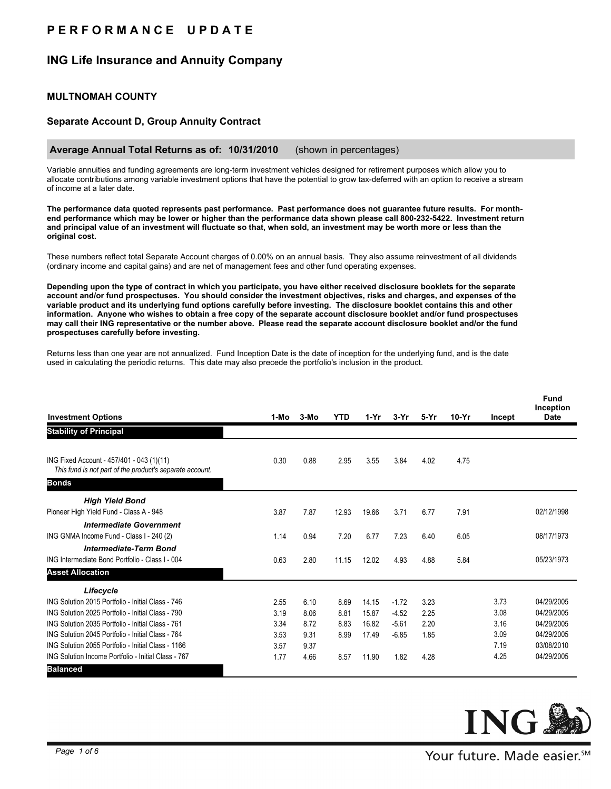# **P E R F O R M A N C E U P D A T E**

## **ING Life Insurance and Annuity Company**

## **MULTNOMAH COUNTY**

### **Separate Account D, Group Annuity Contract**

#### **Average Annual Total Returns as of: 10/31/2010** (shown in percentages)

Variable annuities and funding agreements are long-term investment vehicles designed for retirement purposes which allow you to allocate contributions among variable investment options that have the potential to grow tax-deferred with an option to receive a stream of income at a later date.

**The performance data quoted represents past performance. Past performance does not guarantee future results. For monthend performance which may be lower or higher than the performance data shown please call 800-232-5422. Investment return and principal value of an investment will fluctuate so that, when sold, an investment may be worth more or less than the original cost.**

These numbers reflect total Separate Account charges of 0.00% on an annual basis. They also assume reinvestment of all dividends (ordinary income and capital gains) and are net of management fees and other fund operating expenses.

**Depending upon the type of contract in which you participate, you have either received disclosure booklets for the separate account and/or fund prospectuses. You should consider the investment objectives, risks and charges, and expenses of the variable product and its underlying fund options carefully before investing. The disclosure booklet contains this and other information. Anyone who wishes to obtain a free copy of the separate account disclosure booklet and/or fund prospectuses may call their ING representative or the number above. Please read the separate account disclosure booklet and/or the fund prospectuses carefully before investing.**

Returns less than one year are not annualized. Fund Inception Date is the date of inception for the underlying fund, and is the date used in calculating the periodic returns. This date may also precede the portfolio's inclusion in the product.

| <b>Investment Options</b>                                                                             | 1-Mo | $3-MO$ | <b>YTD</b> | $1-Yr$ | $3-Yr$  | $5-Yr$ | $10-Yr$ | Incept | Fund<br>Inception<br><b>Date</b> |
|-------------------------------------------------------------------------------------------------------|------|--------|------------|--------|---------|--------|---------|--------|----------------------------------|
| <b>Stability of Principal</b>                                                                         |      |        |            |        |         |        |         |        |                                  |
| ING Fixed Account - 457/401 - 043 (1)(11)<br>This fund is not part of the product's separate account. | 0.30 | 0.88   | 2.95       | 3.55   | 3.84    | 4.02   | 4.75    |        |                                  |
| <b>Bonds</b>                                                                                          |      |        |            |        |         |        |         |        |                                  |
| <b>High Yield Bond</b>                                                                                |      |        |            |        |         |        |         |        |                                  |
| Pioneer High Yield Fund - Class A - 948                                                               | 3.87 | 7.87   | 12.93      | 19.66  | 3.71    | 6.77   | 7.91    |        | 02/12/1998                       |
| <b>Intermediate Government</b>                                                                        |      |        |            |        |         |        |         |        |                                  |
| ING GNMA Income Fund - Class I - 240 (2)                                                              | 1.14 | 0.94   | 7.20       | 6.77   | 7.23    | 6.40   | 6.05    |        | 08/17/1973                       |
| <b>Intermediate-Term Bond</b>                                                                         |      |        |            |        |         |        |         |        |                                  |
| ING Intermediate Bond Portfolio - Class I - 004                                                       | 0.63 | 2.80   | 11.15      | 12.02  | 4.93    | 4.88   | 5.84    |        | 05/23/1973                       |
| <b>Asset Allocation</b>                                                                               |      |        |            |        |         |        |         |        |                                  |
| Lifecycle                                                                                             |      |        |            |        |         |        |         |        |                                  |
| ING Solution 2015 Portfolio - Initial Class - 746                                                     | 2.55 | 6.10   | 8.69       | 14.15  | $-1.72$ | 3.23   |         | 3.73   | 04/29/2005                       |
| ING Solution 2025 Portfolio - Initial Class - 790                                                     | 3.19 | 8.06   | 8.81       | 15.87  | $-4.52$ | 2.25   |         | 3.08   | 04/29/2005                       |
| ING Solution 2035 Portfolio - Initial Class - 761                                                     | 3.34 | 8.72   | 8.83       | 16.82  | $-5.61$ | 2.20   |         | 3.16   | 04/29/2005                       |
| ING Solution 2045 Portfolio - Initial Class - 764                                                     | 3.53 | 9.31   | 8.99       | 17.49  | $-6.85$ | 1.85   |         | 3.09   | 04/29/2005                       |
| ING Solution 2055 Portfolio - Initial Class - 1166                                                    | 3.57 | 9.37   |            |        |         |        |         | 7.19   | 03/08/2010                       |
| ING Solution Income Portfolio - Initial Class - 767                                                   | 1.77 | 4.66   | 8.57       | 11.90  | 1.82    | 4.28   |         | 4.25   | 04/29/2005                       |
| <b>Balanced</b>                                                                                       |      |        |            |        |         |        |         |        |                                  |

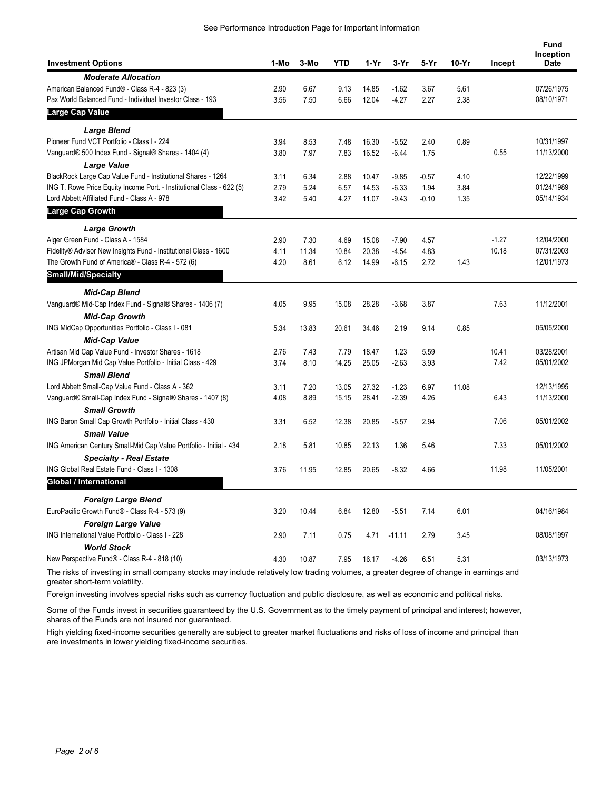| <b>Investment Options</b>                                             | 1-Mo | 3-Mo  | YTD   | 1-Yr  | $3-Yr$   | 5-Yr    | 10-Yr | Incept  | Fund<br>Inception<br><b>Date</b> |
|-----------------------------------------------------------------------|------|-------|-------|-------|----------|---------|-------|---------|----------------------------------|
| <b>Moderate Allocation</b>                                            |      |       |       |       |          |         |       |         |                                  |
| American Balanced Fund® - Class R-4 - 823 (3)                         | 2.90 | 6.67  | 9.13  | 14.85 | $-1.62$  | 3.67    | 5.61  |         | 07/26/1975                       |
| Pax World Balanced Fund - Individual Investor Class - 193             | 3.56 | 7.50  | 6.66  | 12.04 | $-4.27$  | 2.27    | 2.38  |         | 08/10/1971                       |
| Large Cap Value                                                       |      |       |       |       |          |         |       |         |                                  |
| <b>Large Blend</b>                                                    |      |       |       |       |          |         |       |         |                                  |
| Pioneer Fund VCT Portfolio - Class I - 224                            | 3.94 | 8.53  | 7.48  | 16.30 | $-5.52$  | 2.40    | 0.89  |         | 10/31/1997                       |
| Vanguard® 500 Index Fund - Signal® Shares - 1404 (4)                  | 3.80 | 7.97  | 7.83  | 16.52 | $-6.44$  | 1.75    |       | 0.55    | 11/13/2000                       |
| <b>Large Value</b>                                                    |      |       |       |       |          |         |       |         |                                  |
| BlackRock Large Cap Value Fund - Institutional Shares - 1264          | 3.11 | 6.34  | 2.88  | 10.47 | $-9.85$  | $-0.57$ | 4.10  |         | 12/22/1999                       |
| ING T. Rowe Price Equity Income Port. - Institutional Class - 622 (5) | 2.79 | 5.24  | 6.57  | 14.53 | $-6.33$  | 1.94    | 3.84  |         | 01/24/1989                       |
| Lord Abbett Affiliated Fund - Class A - 978<br>Large Cap Growth       | 3.42 | 5.40  | 4.27  | 11.07 | $-9.43$  | $-0.10$ | 1.35  |         | 05/14/1934                       |
|                                                                       |      |       |       |       |          |         |       |         |                                  |
| <b>Large Growth</b><br>Alger Green Fund - Class A - 1584              | 2.90 | 7.30  | 4.69  | 15.08 | $-7.90$  | 4.57    |       | $-1.27$ | 12/04/2000                       |
| Fidelity® Advisor New Insights Fund - Institutional Class - 1600      | 4.11 | 11.34 | 10.84 | 20.38 | $-4.54$  | 4.83    |       | 10.18   | 07/31/2003                       |
| The Growth Fund of America® - Class R-4 - 572 (6)                     | 4.20 | 8.61  | 6.12  | 14.99 | $-6.15$  | 2.72    | 1.43  |         | 12/01/1973                       |
| <b>Small/Mid/Specialty</b>                                            |      |       |       |       |          |         |       |         |                                  |
| <b>Mid-Cap Blend</b>                                                  |      |       |       |       |          |         |       |         |                                  |
| Vanguard® Mid-Cap Index Fund - Signal® Shares - 1406 (7)              | 4.05 | 9.95  | 15.08 | 28.28 | $-3.68$  | 3.87    |       | 7.63    | 11/12/2001                       |
| <b>Mid-Cap Growth</b>                                                 |      |       |       |       |          |         |       |         |                                  |
| ING MidCap Opportunities Portfolio - Class I - 081                    | 5.34 | 13.83 | 20.61 | 34.46 | 2.19     | 9.14    | 0.85  |         | 05/05/2000                       |
| <b>Mid-Cap Value</b>                                                  |      |       |       |       |          |         |       |         |                                  |
| Artisan Mid Cap Value Fund - Investor Shares - 1618                   | 2.76 | 7.43  | 7.79  | 18.47 | 1.23     | 5.59    |       | 10.41   | 03/28/2001                       |
| ING JPMorgan Mid Cap Value Portfolio - Initial Class - 429            | 3.74 | 8.10  | 14.25 | 25.05 | $-2.63$  | 3.93    |       | 7.42    | 05/01/2002                       |
| <b>Small Blend</b>                                                    |      |       |       |       |          |         |       |         |                                  |
| Lord Abbett Small-Cap Value Fund - Class A - 362                      | 3.11 | 7.20  | 13.05 | 27.32 | $-1.23$  | 6.97    | 11.08 |         | 12/13/1995                       |
| Vanguard® Small-Cap Index Fund - Signal® Shares - 1407 (8)            | 4.08 | 8.89  | 15.15 | 28.41 | $-2.39$  | 4.26    |       | 6.43    | 11/13/2000                       |
| <b>Small Growth</b>                                                   |      |       |       |       |          |         |       |         |                                  |
| ING Baron Small Cap Growth Portfolio - Initial Class - 430            | 3.31 | 6.52  | 12.38 | 20.85 | $-5.57$  | 2.94    |       | 7.06    | 05/01/2002                       |
| <b>Small Value</b>                                                    |      |       |       |       |          |         |       |         |                                  |
| ING American Century Small-Mid Cap Value Portfolio - Initial - 434    | 2.18 | 5.81  | 10.85 | 22.13 | 1.36     | 5.46    |       | 7.33    | 05/01/2002                       |
| <b>Specialty - Real Estate</b>                                        |      |       |       |       |          |         |       |         |                                  |
| ING Global Real Estate Fund - Class I - 1308                          | 3.76 | 11.95 | 12.85 | 20.65 | $-8.32$  | 4.66    |       | 11.98   | 11/05/2001                       |
| Global / International                                                |      |       |       |       |          |         |       |         |                                  |
| <b>Foreign Large Blend</b>                                            |      |       |       |       |          |         |       |         |                                  |
| EuroPacific Growth Fund® - Class R-4 - 573 (9)                        | 3.20 | 10.44 | 6.84  | 12.80 | $-5.51$  | 7.14    | 6.01  |         | 04/16/1984                       |
| <b>Foreign Large Value</b>                                            |      |       |       |       |          |         |       |         |                                  |
| ING International Value Portfolio - Class I - 228                     | 2.90 | 7.11  | 0.75  | 4.71  | $-11.11$ | 2.79    | 3.45  |         | 08/08/1997                       |
| <b>World Stock</b>                                                    |      |       |       |       |          |         |       |         |                                  |
| New Perspective Fund® - Class R-4 - 818 (10)                          | 4.30 | 10.87 | 7.95  | 16.17 | $-4.26$  | 6.51    | 5.31  |         | 03/13/1973                       |

The risks of investing in small company stocks may include relatively low trading volumes, a greater degree of change in earnings and greater short-term volatility.

Foreign investing involves special risks such as currency fluctuation and public disclosure, as well as economic and political risks.

Some of the Funds invest in securities guaranteed by the U.S. Government as to the timely payment of principal and interest; however, shares of the Funds are not insured nor guaranteed.

High yielding fixed-income securities generally are subject to greater market fluctuations and risks of loss of income and principal than are investments in lower yielding fixed-income securities.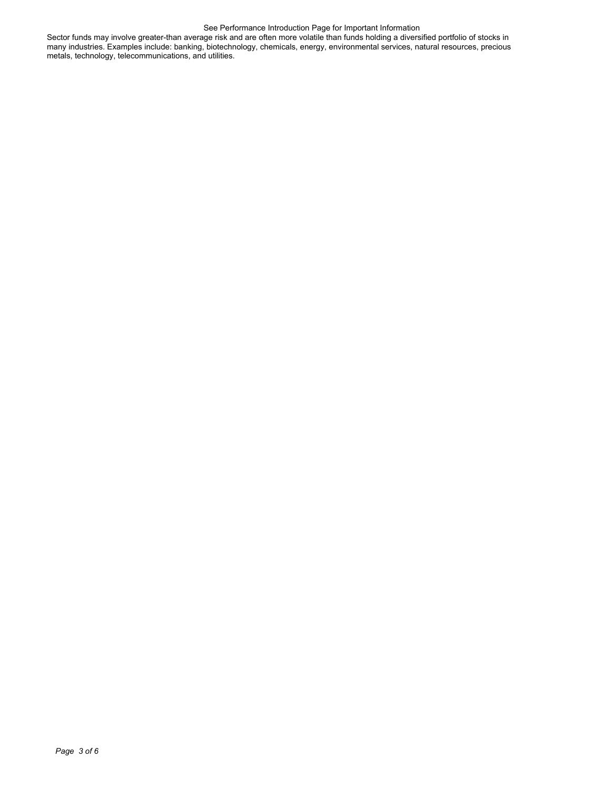#### See Performance Introduction Page for Important Information

Sector funds may involve greater-than average risk and are often more volatile than funds holding a diversified portfolio of stocks in many industries. Examples include: banking, biotechnology, chemicals, energy, environmental services, natural resources, precious metals, technology, telecommunications, and utilities.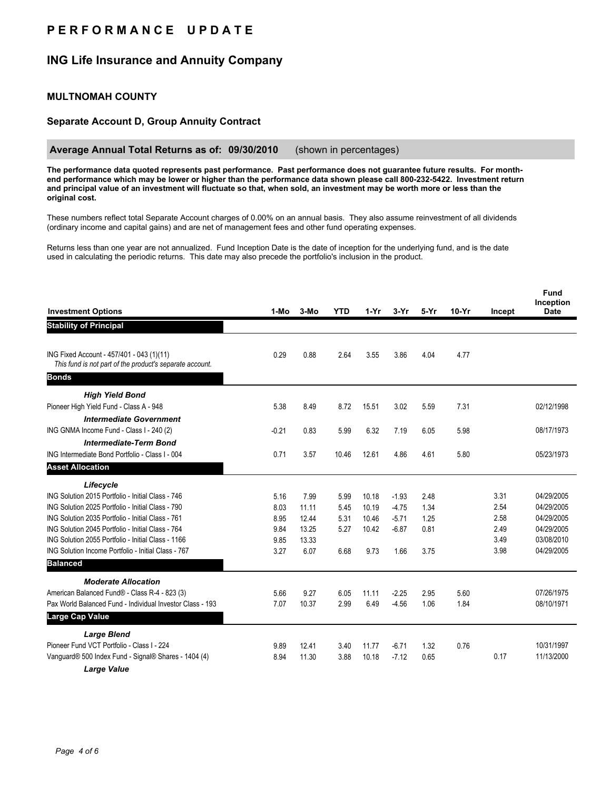## **P E R F O R M A N C E U P D A T E**

## **ING Life Insurance and Annuity Company**

### **MULTNOMAH COUNTY**

### **Separate Account D, Group Annuity Contract**

### **Average Annual Total Returns as of: 09/30/2010** (shown in percentages)

**The performance data quoted represents past performance. Past performance does not guarantee future results. For monthend performance which may be lower or higher than the performance data shown please call 800-232-5422. Investment return and principal value of an investment will fluctuate so that, when sold, an investment may be worth more or less than the original cost.**

These numbers reflect total Separate Account charges of 0.00% on an annual basis. They also assume reinvestment of all dividends (ordinary income and capital gains) and are net of management fees and other fund operating expenses.

Returns less than one year are not annualized. Fund Inception Date is the date of inception for the underlying fund, and is the date used in calculating the periodic returns. This date may also precede the portfolio's inclusion in the product.

| <b>Investment Options</b>                                                                             | 1-Mo    | $3-MO$ | <b>YTD</b> | $1-Yr$ | 3-Yr    | $5-Yr$ | $10-Yr$ | Incept | <b>Fund</b><br>Inception<br><b>Date</b> |
|-------------------------------------------------------------------------------------------------------|---------|--------|------------|--------|---------|--------|---------|--------|-----------------------------------------|
| <b>Stability of Principal</b>                                                                         |         |        |            |        |         |        |         |        |                                         |
|                                                                                                       |         |        |            |        |         |        |         |        |                                         |
| ING Fixed Account - 457/401 - 043 (1)(11)<br>This fund is not part of the product's separate account. | 0.29    | 0.88   | 2.64       | 3.55   | 3.86    | 4.04   | 4.77    |        |                                         |
| <b>Bonds</b>                                                                                          |         |        |            |        |         |        |         |        |                                         |
| <b>High Yield Bond</b>                                                                                |         |        |            |        |         |        |         |        |                                         |
| Pioneer High Yield Fund - Class A - 948                                                               | 5.38    | 8.49   | 8.72       | 15.51  | 3.02    | 5.59   | 7.31    |        | 02/12/1998                              |
| <b>Intermediate Government</b>                                                                        |         |        |            |        |         |        |         |        |                                         |
| ING GNMA Income Fund - Class I - 240 (2)                                                              | $-0.21$ | 0.83   | 5.99       | 6.32   | 7.19    | 6.05   | 5.98    |        | 08/17/1973                              |
| <b>Intermediate-Term Bond</b>                                                                         |         |        |            |        |         |        |         |        |                                         |
| ING Intermediate Bond Portfolio - Class I - 004                                                       | 0.71    | 3.57   | 10.46      | 12.61  | 4.86    | 4.61   | 5.80    |        | 05/23/1973                              |
| <b>Asset Allocation</b>                                                                               |         |        |            |        |         |        |         |        |                                         |
| Lifecycle                                                                                             |         |        |            |        |         |        |         |        |                                         |
| ING Solution 2015 Portfolio - Initial Class - 746                                                     | 5.16    | 7.99   | 5.99       | 10.18  | $-1.93$ | 2.48   |         | 3.31   | 04/29/2005                              |
| ING Solution 2025 Portfolio - Initial Class - 790                                                     | 8.03    | 11 11  | 5.45       | 10.19  | $-4.75$ | 1.34   |         | 2.54   | 04/29/2005                              |
| ING Solution 2035 Portfolio - Initial Class - 761                                                     | 8.95    | 12.44  | 5.31       | 10.46  | $-5.71$ | 1.25   |         | 2.58   | 04/29/2005                              |
| ING Solution 2045 Portfolio - Initial Class - 764                                                     | 9.84    | 13.25  | 5.27       | 10.42  | $-6.87$ | 0.81   |         | 2.49   | 04/29/2005                              |
| ING Solution 2055 Portfolio - Initial Class - 1166                                                    | 9.85    | 13.33  |            |        |         |        |         | 3.49   | 03/08/2010                              |
| ING Solution Income Portfolio - Initial Class - 767                                                   | 3.27    | 6.07   | 6.68       | 9.73   | 1.66    | 3.75   |         | 3.98   | 04/29/2005                              |
| <b>Balanced</b>                                                                                       |         |        |            |        |         |        |         |        |                                         |
| <b>Moderate Allocation</b>                                                                            |         |        |            |        |         |        |         |        |                                         |
| American Balanced Fund® - Class R-4 - 823 (3)                                                         | 5.66    | 9.27   | 6.05       | 11.11  | $-2.25$ | 2.95   | 5.60    |        | 07/26/1975                              |
| Pax World Balanced Fund - Individual Investor Class - 193                                             | 7.07    | 10.37  | 2.99       | 6.49   | $-4.56$ | 1.06   | 1.84    |        | 08/10/1971                              |
| Large Cap Value                                                                                       |         |        |            |        |         |        |         |        |                                         |
| <b>Large Blend</b>                                                                                    |         |        |            |        |         |        |         |        |                                         |
| Pioneer Fund VCT Portfolio - Class I - 224                                                            | 9.89    | 12.41  | 3.40       | 11.77  | $-6.71$ | 1.32   | 0.76    |        | 10/31/1997                              |
| Vanguard® 500 Index Fund - Signal® Shares - 1404 (4)                                                  | 8.94    | 11.30  | 3.88       | 10.18  | $-7.12$ | 0.65   |         | 0.17   | 11/13/2000                              |
| <b>Large Value</b>                                                                                    |         |        |            |        |         |        |         |        |                                         |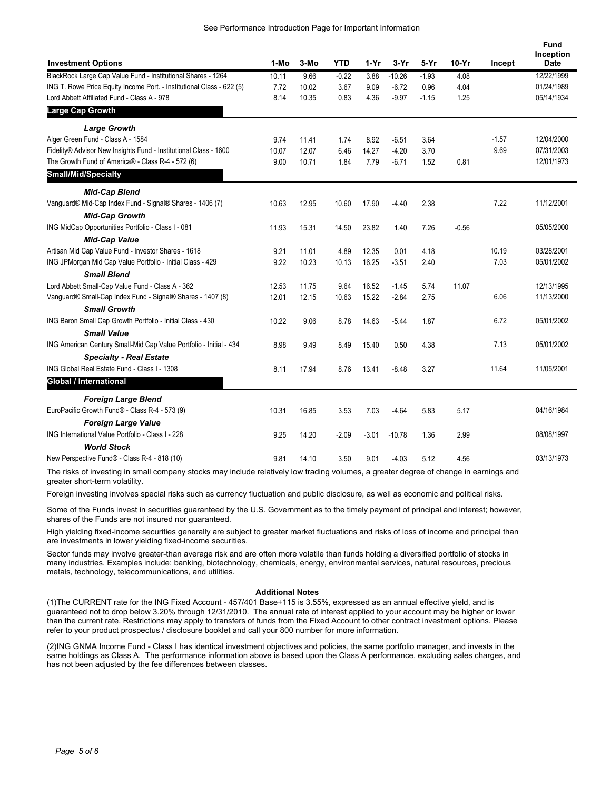See Performance Introduction Page for Important Information

| <b>Investment Options</b>                                             | 1-Mo  | 3-Mo  | YTD     | 1-Yr    | $3-Yr$   | 5-Yr    | $10-Yr$ | Incept  | <b>Fund</b><br>Inception<br><b>Date</b> |
|-----------------------------------------------------------------------|-------|-------|---------|---------|----------|---------|---------|---------|-----------------------------------------|
| BlackRock Large Cap Value Fund - Institutional Shares - 1264          | 10.11 | 9.66  | $-0.22$ | 3.88    | $-10.26$ | $-1.93$ | 4.08    |         | 12/22/1999                              |
| ING T. Rowe Price Equity Income Port. - Institutional Class - 622 (5) | 7.72  | 10.02 | 3.67    | 9.09    | $-6.72$  | 0.96    | 4.04    |         | 01/24/1989                              |
| Lord Abbett Affiliated Fund - Class A - 978                           | 8.14  | 10.35 | 0.83    | 4.36    | $-9.97$  | $-1.15$ | 1.25    |         | 05/14/1934                              |
| <b>Large Cap Growth</b>                                               |       |       |         |         |          |         |         |         |                                         |
| <b>Large Growth</b>                                                   |       |       |         |         |          |         |         |         |                                         |
| Alger Green Fund - Class A - 1584                                     | 9.74  | 11.41 | 1.74    | 8.92    | $-6.51$  | 3.64    |         | $-1.57$ | 12/04/2000                              |
| Fidelity® Advisor New Insights Fund - Institutional Class - 1600      | 10.07 | 12.07 | 6.46    | 14.27   | $-4.20$  | 3.70    |         | 9.69    | 07/31/2003                              |
| The Growth Fund of America® - Class R-4 - 572 (6)                     | 9.00  | 10.71 | 1.84    | 7.79    | $-6.71$  | 1.52    | 0.81    |         | 12/01/1973                              |
| <b>Small/Mid/Specialty</b>                                            |       |       |         |         |          |         |         |         |                                         |
| <b>Mid-Cap Blend</b>                                                  |       |       |         |         |          |         |         |         |                                         |
| Vanguard® Mid-Cap Index Fund - Signal® Shares - 1406 (7)              | 10.63 | 12.95 | 10.60   | 17.90   | $-4.40$  | 2.38    |         | 7.22    | 11/12/2001                              |
| <b>Mid-Cap Growth</b>                                                 |       |       |         |         |          |         |         |         |                                         |
| ING MidCap Opportunities Portfolio - Class I - 081                    | 11.93 | 15.31 | 14.50   | 23.82   | 1.40     | 7.26    | $-0.56$ |         | 05/05/2000                              |
| <b>Mid-Cap Value</b>                                                  |       |       |         |         |          |         |         |         |                                         |
| Artisan Mid Cap Value Fund - Investor Shares - 1618                   | 9.21  | 11.01 | 4.89    | 12.35   | 0.01     | 4.18    |         | 10.19   | 03/28/2001                              |
| ING JPMorgan Mid Cap Value Portfolio - Initial Class - 429            | 9.22  | 10.23 | 10.13   | 16.25   | $-3.51$  | 2.40    |         | 7.03    | 05/01/2002                              |
| <b>Small Blend</b>                                                    |       |       |         |         |          |         |         |         |                                         |
| Lord Abbett Small-Cap Value Fund - Class A - 362                      | 12.53 | 11.75 | 9.64    | 16.52   | $-1.45$  | 5.74    | 11.07   |         | 12/13/1995                              |
| Vanguard® Small-Cap Index Fund - Signal® Shares - 1407 (8)            | 12.01 | 12.15 | 10.63   | 15.22   | $-2.84$  | 2.75    |         | 6.06    | 11/13/2000                              |
| <b>Small Growth</b>                                                   |       |       |         |         |          |         |         |         |                                         |
| ING Baron Small Cap Growth Portfolio - Initial Class - 430            | 10.22 | 9.06  | 8.78    | 14.63   | $-5.44$  | 1.87    |         | 6.72    | 05/01/2002                              |
| <b>Small Value</b>                                                    |       |       |         |         |          |         |         |         |                                         |
| ING American Century Small-Mid Cap Value Portfolio - Initial - 434    | 8.98  | 9.49  | 8.49    | 15.40   | 0.50     | 4.38    |         | 7.13    | 05/01/2002                              |
| <b>Specialty - Real Estate</b>                                        |       |       |         |         |          |         |         |         |                                         |
| ING Global Real Estate Fund - Class I - 1308                          | 8.11  | 17.94 | 8.76    | 13.41   | $-8.48$  | 3.27    |         | 11.64   | 11/05/2001                              |
| <b>Global / International</b>                                         |       |       |         |         |          |         |         |         |                                         |
| <b>Foreign Large Blend</b>                                            |       |       |         |         |          |         |         |         |                                         |
| EuroPacific Growth Fund® - Class R-4 - 573 (9)                        | 10.31 | 16.85 | 3.53    | 7.03    | $-4.64$  | 5.83    | 5.17    |         | 04/16/1984                              |
| <b>Foreign Large Value</b>                                            |       |       |         |         |          |         |         |         |                                         |
| ING International Value Portfolio - Class I - 228                     | 9.25  | 14.20 | $-2.09$ | $-3.01$ | $-10.78$ | 1.36    | 2.99    |         | 08/08/1997                              |
| <b>World Stock</b>                                                    |       |       |         |         |          |         |         |         |                                         |
| New Perspective Fund® - Class R-4 - 818 (10)                          | 9.81  | 14.10 | 3.50    | 9.01    | $-4.03$  | 5.12    | 4.56    |         | 03/13/1973                              |
|                                                                       |       |       |         |         |          |         |         |         |                                         |

The risks of investing in small company stocks may include relatively low trading volumes, a greater degree of change in earnings and greater short-term volatility.

Foreign investing involves special risks such as currency fluctuation and public disclosure, as well as economic and political risks.

Some of the Funds invest in securities guaranteed by the U.S. Government as to the timely payment of principal and interest; however, shares of the Funds are not insured nor guaranteed.

High yielding fixed-income securities generally are subject to greater market fluctuations and risks of loss of income and principal than are investments in lower yielding fixed-income securities.

Sector funds may involve greater-than average risk and are often more volatile than funds holding a diversified portfolio of stocks in many industries. Examples include: banking, biotechnology, chemicals, energy, environmental services, natural resources, precious metals, technology, telecommunications, and utilities.

#### **Additional Notes**

(1)The CURRENT rate for the ING Fixed Account - 457/401 Base+115 is 3.55%, expressed as an annual effective yield, and is guaranteed not to drop below 3.20% through 12/31/2010. The annual rate of interest applied to your account may be higher or lower than the current rate. Restrictions may apply to transfers of funds from the Fixed Account to other contract investment options. Please refer to your product prospectus / disclosure booklet and call your 800 number for more information.

(2)ING GNMA Income Fund - Class I has identical investment objectives and policies, the same portfolio manager, and invests in the same holdings as Class A. The performance information above is based upon the Class A performance, excluding sales charges, and has not been adjusted by the fee differences between classes.